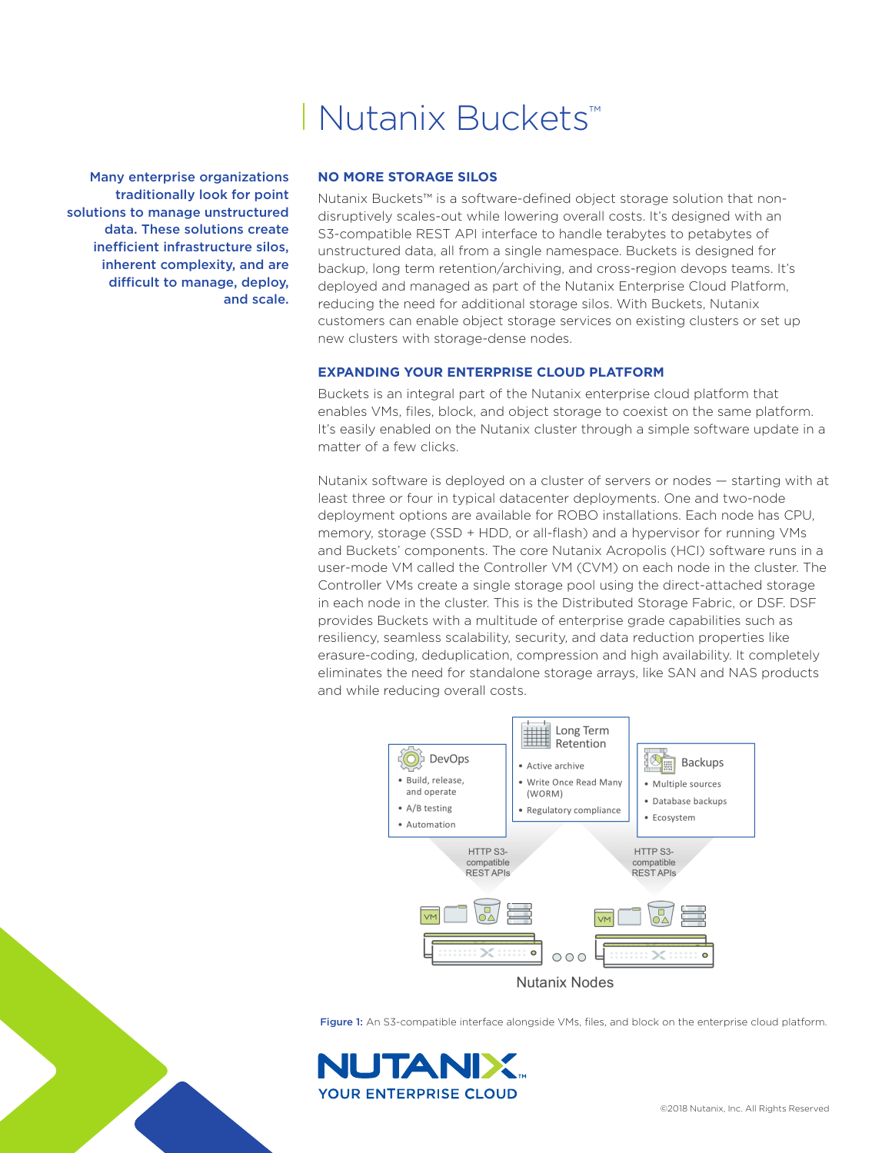# Nutanix Buckets™

Many enterprise organizations traditionally look for point solutions to manage unstructured data. These solutions create inefficient infrastructure silos, inherent complexity, and are difficult to manage, deploy, and scale.

## **NO MORE STORAGE SILOS**

Nutanix Buckets™ is a software-defined object storage solution that nondisruptively scales-out while lowering overall costs. It's designed with an S3-compatible REST API interface to handle terabytes to petabytes of unstructured data, all from a single namespace. Buckets is designed for backup, long term retention/archiving, and cross-region devops teams. It's deployed and managed as part of the Nutanix Enterprise Cloud Platform, reducing the need for additional storage silos. With Buckets, Nutanix customers can enable object storage services on existing clusters or set up new clusters with storage-dense nodes.

## **EXPANDING YOUR ENTERPRISE CLOUD PLATFORM**

Buckets is an integral part of the Nutanix enterprise cloud platform that enables VMs, files, block, and object storage to coexist on the same platform. It's easily enabled on the Nutanix cluster through a simple software update in a matter of a few clicks.

Nutanix software is deployed on a cluster of servers or nodes — starting with at least three or four in typical datacenter deployments. One and two-node deployment options are available for ROBO installations. Each node has CPU, memory, storage (SSD + HDD, or all-flash) and a hypervisor for running VMs and Buckets' components. The core Nutanix Acropolis (HCI) software runs in a user-mode VM called the Controller VM (CVM) on each node in the cluster. The Controller VMs create a single storage pool using the direct-attached storage in each node in the cluster. This is the Distributed Storage Fabric, or DSF. DSF provides Buckets with a multitude of enterprise grade capabilities such as resiliency, seamless scalability, security, and data reduction properties like erasure-coding, deduplication, compression and high availability. It completely eliminates the need for standalone storage arrays, like SAN and NAS products and while reducing overall costs.



Figure 1: An S3-compatible interface alongside VMs, files, and block on the enterprise cloud platform.

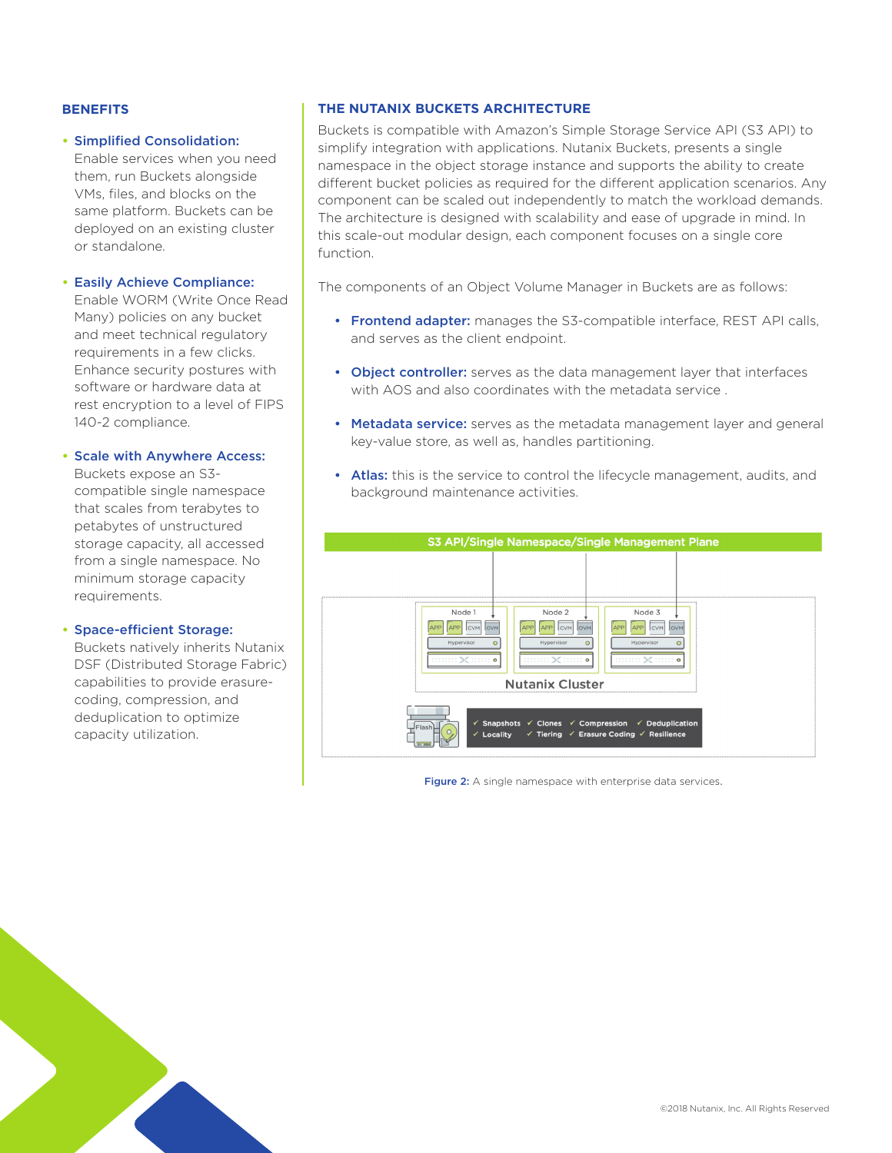## **BENEFITS**

#### **•** Simplified Consolidation:

Enable services when you need them, run Buckets alongside VMs, files, and blocks on the same platform. Buckets can be deployed on an existing cluster or standalone.

#### **•** Easily Achieve Compliance:

Enable WORM (Write Once Read Many) policies on any bucket and meet technical regulatory requirements in a few clicks. Enhance security postures with software or hardware data at rest encryption to a level of FIPS 140-2 compliance.

# **•** Scale with Anywhere Access:

Buckets expose an S3 compatible single namespace that scales from terabytes to petabytes of unstructured storage capacity, all accessed from a single namespace. No minimum storage capacity requirements.

#### **•** Space-efficient Storage:

Buckets natively inherits Nutanix DSF (Distributed Storage Fabric) capabilities to provide erasurecoding, compression, and deduplication to optimize capacity utilization.

# **THE NUTANIX BUCKETS ARCHITECTURE**

Buckets is compatible with Amazon's Simple Storage Service API (S3 API) to simplify integration with applications. Nutanix Buckets, presents a single namespace in the object storage instance and supports the ability to create different bucket policies as required for the different application scenarios. Any component can be scaled out independently to match the workload demands. The architecture is designed with scalability and ease of upgrade in mind. In this scale-out modular design, each component focuses on a single core function.

The components of an Object Volume Manager in Buckets are as follows:

- Frontend adapter: manages the S3-compatible interface, REST API calls, and serves as the client endpoint.
- Object controller: serves as the data management layer that interfaces with AOS and also coordinates with the metadata service .
- Metadata service: serves as the metadata management layer and general key-value store, as well as, handles partitioning.
- Atlas: this is the service to control the lifecycle management, audits, and background maintenance activities.



Figure 2: A single namespace with enterprise data services.